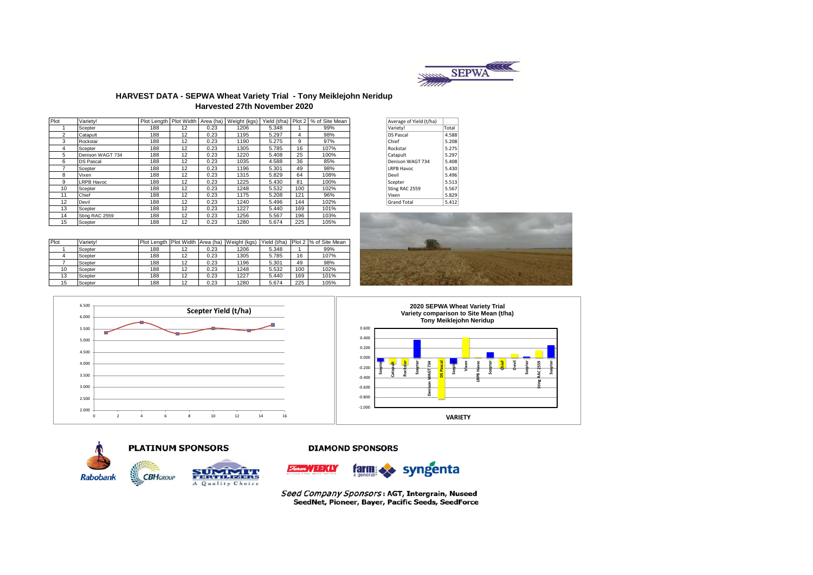

### **HARVEST DATA - SEPWA Wheat Variety Trial - Tony Meiklejohn Neridup Harvested 27th November 2020**

| Plot           | Varietv!          |     |    |      | Plot Length Plot Width Area (ha) Weight (kgs) |       |     | Yield (t/ha) Plot 2 % of Site Mean | Average of Yield (t/ha) |       |
|----------------|-------------------|-----|----|------|-----------------------------------------------|-------|-----|------------------------------------|-------------------------|-------|
|                | Scepter           | 188 | 12 | 0.23 | 1206                                          | 5.348 |     | 99%                                | Variety!                | Total |
| $\overline{2}$ | Catapult          | 188 | 12 | 0.23 | 1195                                          | 5.297 | 4   | 98%                                | <b>DS Pascal</b>        | 4.588 |
| 3              | Rockstar          | 188 | 12 | 0.23 | 1190                                          | 5.275 | 9   | 97%                                | Chief                   | 5.208 |
| 4              | Scepter           | 188 | 12 | 0.23 | 1305                                          | 5.785 | 16  | 107%                               | Rockstar                | 5.275 |
| 5              | Denison WAGT 734  | 188 | 12 | 0.23 | 1220                                          | 5.408 | 25  | 100%                               | Catapult                | 5.297 |
| 6              | <b>DS Pascal</b>  | 188 | 12 | 0.23 | 1035                                          | 4.588 | 36  | 85%                                | Denison WAGT 734        | 5.408 |
|                | Scepter           | 188 | 12 | 0.23 | 1196                                          | 5.301 | 49  | 98%                                | <b>LRPB Havoc</b>       | 5.430 |
| 8              | Vixen             | 188 | 12 | 0.23 | 1315                                          | 5.829 | 64  | 108%                               | Devil                   | 5.496 |
| 9              | <b>LRPB Havoc</b> | 188 | 12 | 0.23 | 1225                                          | 5.430 | 81  | 100%                               | Scepter                 | 5.513 |
| 10             | Scepter           | 188 | 12 | 0.23 | 1248                                          | 5.532 | 100 | 102%                               | Sting RAC 2559          | 5.567 |
| 11             | Chief             | 188 | 12 | 0.23 | 1175                                          | 5.208 | 121 | 96%                                | Vixen                   | 5.829 |
| 12             | Devil             | 188 | 12 | 0.23 | 1240                                          | 5.496 | 144 | 102%                               | <b>Grand Total</b>      | 5.412 |
| 13             | Scepter           | 188 | 12 | 0.23 | 1227                                          | 5.440 | 169 | 101%                               |                         |       |
| 14             | Sting RAC 2559    | 188 | 12 | 0.23 | 1256                                          | 5.567 | 196 | 103%                               |                         |       |
| 15             | Scepter           | 188 | 12 | 0.23 | 1280                                          | 5.674 | 225 | 105%                               |                         |       |

| Average of Yield (t/ha) |       |
|-------------------------|-------|
| Variety!                | Total |
| <b>DS Pascal</b>        | 4.588 |
| Chief                   | 5.208 |
| Rockstar                | 5.275 |
| Catapult                | 5.297 |
| Denison WAGT 734        | 5.408 |
| <b>LRPB Havoc</b>       | 5.430 |
| Devil                   | 5.496 |
| Scepter                 | 5.513 |
| Sting RAC 2559          | 5.567 |
| Vixen                   | 5.829 |
| <b>Grand Total</b>      | 5.412 |

| Plot | Variety! |     |    |      | Plot Length   Plot Width   Area (ha)   Weight (kgs) | Yield (t/ha) |     | Plot 2 % of Site Mean |
|------|----------|-----|----|------|-----------------------------------------------------|--------------|-----|-----------------------|
|      | Scepter  | 188 | 12 | 0.23 | 1206                                                | 5.348        |     | 99%                   |
|      | Scepter  | 188 | 12 | 0.23 | 1305                                                | 5.785        | 16  | 107%                  |
|      | Scepter  | 188 | 12 | 0.23 | 1196                                                | 5.301        | 49  | 98%                   |
| 10   | Scepter  | 188 | 12 | 0.23 | 1248                                                | 5.532        | 100 | 102%                  |
| 13   | Scepter  | 188 | 12 | 0.23 | 1227                                                | 5.440        | 169 | 101%                  |
| 15   | Scepter  | 188 | 12 | 0.23 | 1280                                                | 5.674        | 225 | 105%                  |







#### **DIAMOND SPONSORS**



Seed Company Sponsors: AGT, Intergrain, Nuseed SeedNet, Pioneer, Bayer, Pacific Seeds, SeedForce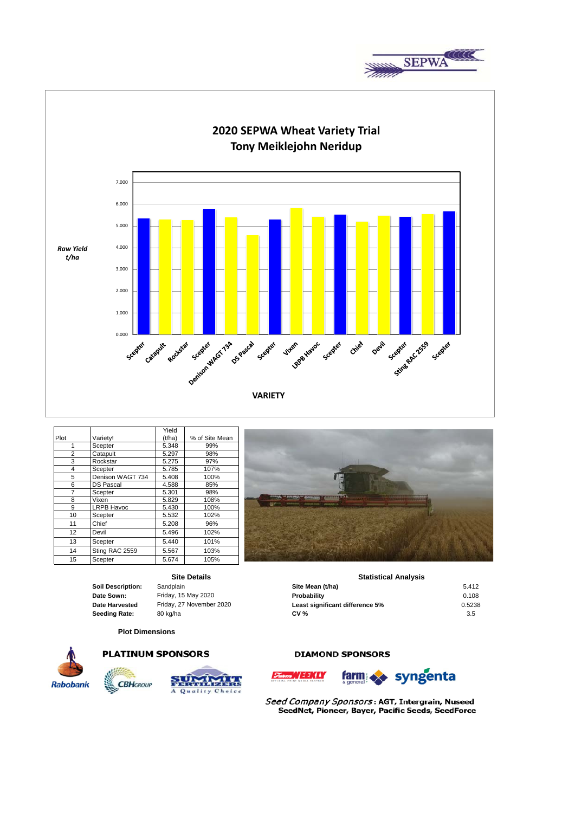



|      |                   | Yield  |                |
|------|-------------------|--------|----------------|
| Plot | Varietv!          | (t/ha) | % of Site Mean |
| 1    | Scepter           | 5.348  | 99%            |
| 2    | Catapult          | 5.297  | 98%            |
| 3    | Rockstar          | 5.275  | 97%            |
| 4    | Scepter           | 5.785  | 107%           |
| 5    | Denison WAGT 734  | 5.408  | 100%           |
| 6    | <b>DS Pascal</b>  | 4.588  | 85%            |
| 7    | Scepter           | 5.301  | 98%            |
| 8    | Vixen             | 5.829  | 108%           |
| 9    | <b>LRPB Havoc</b> | 5.430  | 100%           |
| 10   | Scepter           | 5.532  | 102%           |
| 11   | Chief             | 5.208  | 96%            |
| 12   | Devil             | 5.496  | 102%           |
| 13   | Scepter           | 5.440  | 101%           |
| 14   | Sting RAC 2559    | 5.567  | 103%           |
| 15   | Scepter           | 5.674  | 105%           |

**Site Details**

**Soil Description:** Sandplain **Site Mean (1)** 5.412

**Plot Dimensions**

**CBH**GROUP



# 188 12 0.23 4.43



## **DIAMOND SPONSORS**





Seed Company Sponsors: AGT, Intergrain, Nuseed SeedNet, Pioneer, Bayer, Pacific Seeds, SeedForce



#### **Statistical Analysis**

| <b>Soil Description:</b> | Sandplain                | Site Mean (t/ha)                | 5.412  |
|--------------------------|--------------------------|---------------------------------|--------|
| Date Sown:               | Friday, 15 May 2020      | Probability                     | 0.108  |
| Date Harvested           | Friday, 27 November 2020 | Least significant difference 5% | 0.5238 |
| Seedina Rate:            | 80 kg/ha                 | <b>CV %</b>                     | 3.5    |
|                          |                          |                                 |        |